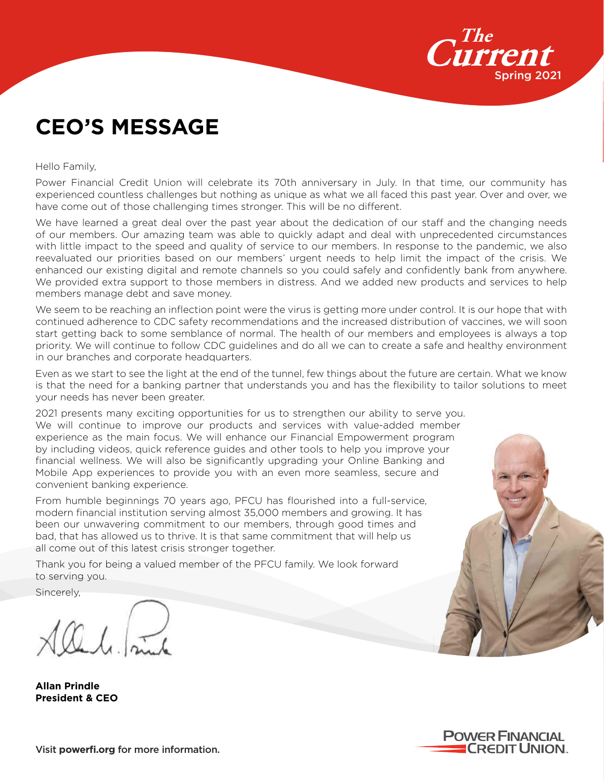

## **CEO'S MESSAGE**

Hello Family,

Power Financial Credit Union will celebrate its 70th anniversary in July. In that time, our community has experienced countless challenges but nothing as unique as what we all faced this past year. Over and over, we have come out of those challenging times stronger. This will be no different.

We have learned a great deal over the past year about the dedication of our staff and the changing needs of our members. Our amazing team was able to quickly adapt and deal with unprecedented circumstances with little impact to the speed and quality of service to our members. In response to the pandemic, we also reevaluated our priorities based on our members' urgent needs to help limit the impact of the crisis. We enhanced our existing digital and remote channels so you could safely and confidently bank from anywhere. We provided extra support to those members in distress. And we added new products and services to help members manage debt and save money.

We seem to be reaching an inflection point were the virus is getting more under control. It is our hope that with continued adherence to CDC safety recommendations and the increased distribution of vaccines, we will soon start getting back to some semblance of normal. The health of our members and employees is always a top priority. We will continue to follow CDC guidelines and do all we can to create a safe and healthy environment in our branches and corporate headquarters.

Even as we start to see the light at the end of the tunnel, few things about the future are certain. What we know is that the need for a banking partner that understands you and has the flexibility to tailor solutions to meet your needs has never been greater.

2021 presents many exciting opportunities for us to strengthen our ability to serve you. We will continue to improve our products and services with value-added member experience as the main focus. We will enhance our Financial Empowerment program by including videos, quick reference guides and other tools to help you improve your financial wellness. We will also be significantly upgrading your Online Banking and Mobile App experiences to provide you with an even more seamless, secure and convenient banking experience.

From humble beginnings 70 years ago, PFCU has flourished into a full-service, modern financial institution serving almost 35,000 members and growing. It has been our unwavering commitment to our members, through good times and bad, that has allowed us to thrive. It is that same commitment that will help us all come out of this latest crisis stronger together.

Thank you for being a valued member of the PFCU family. We look forward to serving you.

Sincerely,

**Allan Prindle President & CEO**